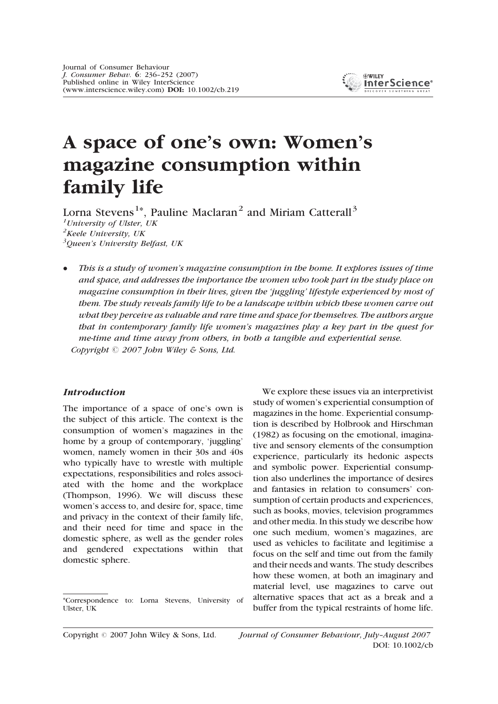

# A space of one's own: Women's magazine consumption within family life

Lorna Stevens<sup>1\*</sup>, Pauline Maclaran<sup>2</sup> and Miriam Catterall<sup>3</sup> <sup>1</sup>University of Ulster, UK <sup>2</sup>Keele University, UK <sup>3</sup>Queen's University Belfast, UK

• This is a study of women's magazine consumption in the home. It explores issues of time and space, and addresses the importance the women who took part in the study place on magazine consumption in their lives, given the 'juggling' lifestyle experienced by most of them. The study reveals family life to be a landscape within which these women carve out what they perceive as valuable and rare time and space for themselves. The authors argue that in contemporary family life women's magazines play a key part in the quest for me-time and time away from others, in both a tangible and experiential sense. Copyright  $\odot$  2007 John Wiley & Sons, Ltd.

## Introduction

The importance of a space of one's own is the subject of this article. The context is the consumption of women's magazines in the home by a group of contemporary, 'juggling' women, namely women in their 30s and 40s who typically have to wrestle with multiple expectations, responsibilities and roles associated with the home and the workplace (Thompson, 1996). We will discuss these women's access to, and desire for, space, time and privacy in the context of their family life, and their need for time and space in the domestic sphere, as well as the gender roles and gendered expectations within that domestic sphere.

We explore these issues via an interpretivist study of women's experiential consumption of magazines in the home. Experiential consumption is described by Holbrook and Hirschman (1982) as focusing on the emotional, imaginative and sensory elements of the consumption experience, particularly its hedonic aspects and symbolic power. Experiential consumption also underlines the importance of desires and fantasies in relation to consumers' consumption of certain products and experiences, such as books, movies, television programmes and other media. In this study we describe how one such medium, women's magazines, are used as vehicles to facilitate and legitimise a focus on the self and time out from the family and their needs and wants. The study describes how these women, at both an imaginary and material level, use magazines to carve out alternative spaces that act as a break and a buffer from the typical restraints of home life.

<sup>\*</sup>Correspondence to: Lorna Stevens, University of Ulster, UK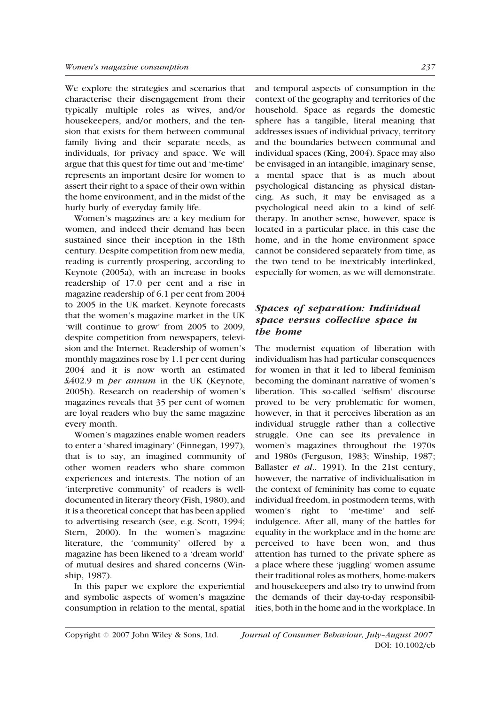We explore the strategies and scenarios that characterise their disengagement from their typically multiple roles as wives, and/or housekeepers, and/or mothers, and the tension that exists for them between communal family living and their separate needs, as individuals, for privacy and space. We will argue that this quest for time out and 'me-time' represents an important desire for women to assert their right to a space of their own within the home environment, and in the midst of the hurly burly of everyday family life.

Women's magazines are a key medium for women, and indeed their demand has been sustained since their inception in the 18th century. Despite competition from new media, reading is currently prospering, according to Keynote (2005a), with an increase in books readership of 17.0 per cent and a rise in magazine readership of 6.1 per cent from 2004 to 2005 in the UK market. Keynote forecasts that the women's magazine market in the UK 'will continue to grow' from 2005 to 2009, despite competition from newspapers, television and the Internet. Readership of women's monthly magazines rose by 1.1 per cent during 2004 and it is now worth an estimated £402.9 m per annum in the UK (Keynote, 2005b). Research on readership of women's magazines reveals that 35 per cent of women are loyal readers who buy the same magazine every month.

Women's magazines enable women readers to enter a 'shared imaginary' (Finnegan, 1997), that is to say, an imagined community of other women readers who share common experiences and interests. The notion of an 'interpretive community' of readers is welldocumented in literary theory (Fish, 1980), and it is a theoretical concept that has been applied to advertising research (see, e.g. Scott, 1994; Stern, 2000). In the women's magazine literature, the 'community' offered by a magazine has been likened to a 'dream world' of mutual desires and shared concerns (Winship, 1987).

In this paper we explore the experiential and symbolic aspects of women's magazine consumption in relation to the mental, spatial

and temporal aspects of consumption in the context of the geography and territories of the household. Space as regards the domestic sphere has a tangible, literal meaning that addresses issues of individual privacy, territory and the boundaries between communal and individual spaces (King, 2004). Space may also be envisaged in an intangible, imaginary sense, a mental space that is as much about psychological distancing as physical distancing. As such, it may be envisaged as a psychological need akin to a kind of selftherapy. In another sense, however, space is located in a particular place, in this case the home, and in the home environment space cannot be considered separately from time, as the two tend to be inextricably interlinked, especially for women, as we will demonstrate.

# Spaces of separation: Individual space versus collective space in the home

The modernist equation of liberation with individualism has had particular consequences for women in that it led to liberal feminism becoming the dominant narrative of women's liberation. This so-called 'selfism' discourse proved to be very problematic for women, however, in that it perceives liberation as an individual struggle rather than a collective struggle. One can see its prevalence in women's magazines throughout the 1970s and 1980s (Ferguson, 1983; Winship, 1987; Ballaster *et al.*, 1991). In the 21st century, however, the narrative of individualisation in the context of femininity has come to equate individual freedom, in postmodern terms, with women's right to 'me-time' and selfindulgence. After all, many of the battles for equality in the workplace and in the home are perceived to have been won, and thus attention has turned to the private sphere as a place where these 'juggling' women assume their traditional roles as mothers, home-makers and housekeepers and also try to unwind from the demands of their day-to-day responsibilities, both in the home and in the workplace. In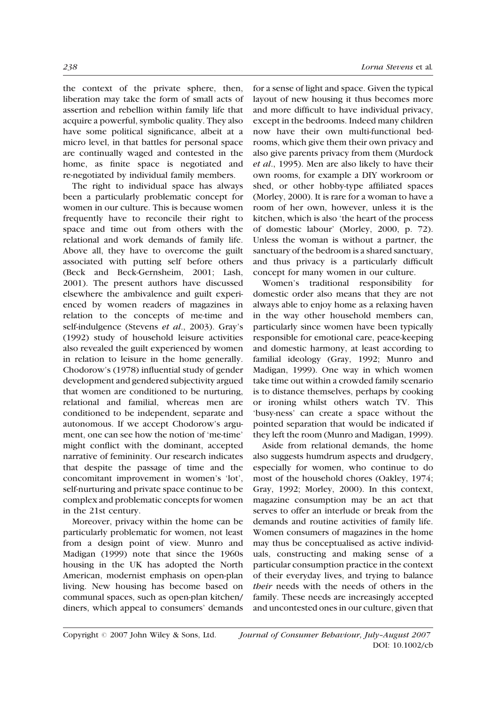the context of the private sphere, then, liberation may take the form of small acts of assertion and rebellion within family life that acquire a powerful, symbolic quality. They also have some political significance, albeit at a micro level, in that battles for personal space are continually waged and contested in the home, as finite space is negotiated and re-negotiated by individual family members.

The right to individual space has always been a particularly problematic concept for women in our culture. This is because women frequently have to reconcile their right to space and time out from others with the relational and work demands of family life. Above all, they have to overcome the guilt associated with putting self before others (Beck and Beck-Gernsheim, 2001; Lash, 2001). The present authors have discussed elsewhere the ambivalence and guilt experienced by women readers of magazines in relation to the concepts of me-time and self-indulgence (Stevens et al., 2003). Gray's (1992) study of household leisure activities also revealed the guilt experienced by women in relation to leisure in the home generally. Chodorow's (1978) influential study of gender development and gendered subjectivity argued that women are conditioned to be nurturing, relational and familial, whereas men are conditioned to be independent, separate and autonomous. If we accept Chodorow's argument, one can see how the notion of 'me-time' might conflict with the dominant, accepted narrative of femininity. Our research indicates that despite the passage of time and the concomitant improvement in women's 'lot', self-nurturing and private space continue to be complex and problematic concepts for women in the 21st century.

Moreover, privacy within the home can be particularly problematic for women, not least from a design point of view. Munro and Madigan (1999) note that since the 1960s housing in the UK has adopted the North American, modernist emphasis on open-plan living. New housing has become based on communal spaces, such as open-plan kitchen/ diners, which appeal to consumers' demands

for a sense of light and space. Given the typical layout of new housing it thus becomes more and more difficult to have individual privacy, except in the bedrooms. Indeed many children now have their own multi-functional bedrooms, which give them their own privacy and also give parents privacy from them (Murdock et al., 1995). Men are also likely to have their own rooms, for example a DIY workroom or shed, or other hobby-type affiliated spaces (Morley, 2000). It is rare for a woman to have a room of her own, however, unless it is the kitchen, which is also 'the heart of the process of domestic labour' (Morley, 2000, p. 72). Unless the woman is without a partner, the sanctuary of the bedroom is a shared sanctuary, and thus privacy is a particularly difficult concept for many women in our culture.

Women's traditional responsibility for domestic order also means that they are not always able to enjoy home as a relaxing haven in the way other household members can, particularly since women have been typically responsible for emotional care, peace-keeping and domestic harmony, at least according to familial ideology (Gray, 1992; Munro and Madigan, 1999). One way in which women take time out within a crowded family scenario is to distance themselves, perhaps by cooking or ironing whilst others watch TV. This 'busy-ness' can create a space without the pointed separation that would be indicated if they left the room (Munro and Madigan, 1999).

Aside from relational demands, the home also suggests humdrum aspects and drudgery, especially for women, who continue to do most of the household chores (Oakley, 1974; Gray, 1992; Morley, 2000). In this context, magazine consumption may be an act that serves to offer an interlude or break from the demands and routine activities of family life. Women consumers of magazines in the home may thus be conceptualised as active individuals, constructing and making sense of a particular consumption practice in the context of their everyday lives, and trying to balance their needs with the needs of others in the family. These needs are increasingly accepted and uncontested ones in our culture, given that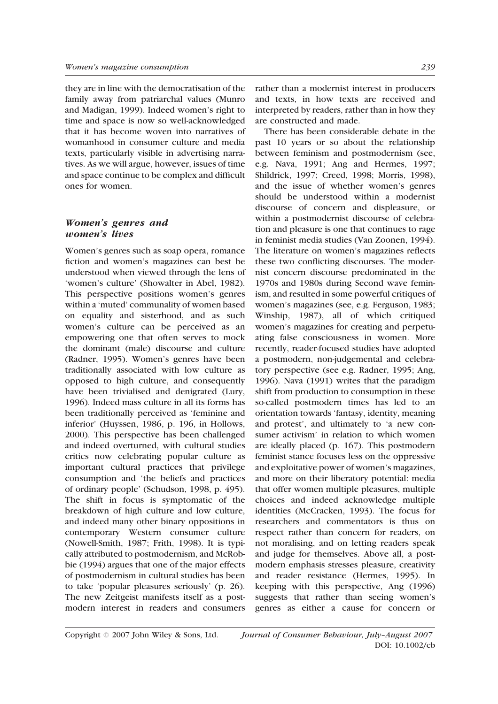they are in line with the democratisation of the family away from patriarchal values (Munro and Madigan, 1999). Indeed women's right to time and space is now so well-acknowledged that it has become woven into narratives of womanhood in consumer culture and media texts, particularly visible in advertising narratives. As we will argue, however, issues of time and space continue to be complex and difficult ones for women.

## Women's genres and women's lives

Women's genres such as soap opera, romance fiction and women's magazines can best be understood when viewed through the lens of 'women's culture' (Showalter in Abel, 1982). This perspective positions women's genres within a 'muted' communality of women based on equality and sisterhood, and as such women's culture can be perceived as an empowering one that often serves to mock the dominant (male) discourse and culture (Radner, 1995). Women's genres have been traditionally associated with low culture as opposed to high culture, and consequently have been trivialised and denigrated (Lury, 1996). Indeed mass culture in all its forms has been traditionally perceived as 'feminine and inferior' (Huyssen, 1986, p. 196, in Hollows, 2000). This perspective has been challenged and indeed overturned, with cultural studies critics now celebrating popular culture as important cultural practices that privilege consumption and 'the beliefs and practices of ordinary people' (Schudson, 1998, p. 495). The shift in focus is symptomatic of the breakdown of high culture and low culture, and indeed many other binary oppositions in contemporary Western consumer culture (Nowell-Smith, 1987; Frith, 1998). It is typically attributed to postmodernism, and McRobbie (1994) argues that one of the major effects of postmodernism in cultural studies has been to take 'popular pleasures seriously' (p. 26). The new Zeitgeist manifests itself as a postmodern interest in readers and consumers

rather than a modernist interest in producers and texts, in how texts are received and interpreted by readers, rather than in how they are constructed and made.

There has been considerable debate in the past 10 years or so about the relationship between feminism and postmodernism (see, e.g. Nava, 1991; Ang and Hermes, 1997; Shildrick, 1997; Creed, 1998; Morris, 1998), and the issue of whether women's genres should be understood within a modernist discourse of concern and displeasure, or within a postmodernist discourse of celebration and pleasure is one that continues to rage in feminist media studies (Van Zoonen, 1994). The literature on women's magazines reflects these two conflicting discourses. The modernist concern discourse predominated in the 1970s and 1980s during Second wave feminism, and resulted in some powerful critiques of women's magazines (see, e.g. Ferguson, 1983; Winship, 1987), all of which critiqued women's magazines for creating and perpetuating false consciousness in women. More recently, reader-focused studies have adopted a postmodern, non-judgemental and celebratory perspective (see e.g. Radner, 1995; Ang, 1996). Nava (1991) writes that the paradigm shift from production to consumption in these so-called postmodern times has led to an orientation towards 'fantasy, identity, meaning and protest', and ultimately to 'a new consumer activism' in relation to which women are ideally placed (p. 167). This postmodern feminist stance focuses less on the oppressive and exploitative power of women's magazines, and more on their liberatory potential: media that offer women multiple pleasures, multiple choices and indeed acknowledge multiple identities (McCracken, 1993). The focus for researchers and commentators is thus on respect rather than concern for readers, on not moralising, and on letting readers speak and judge for themselves. Above all, a postmodern emphasis stresses pleasure, creativity and reader resistance (Hermes, 1995). In keeping with this perspective, Ang (1996) suggests that rather than seeing women's genres as either a cause for concern or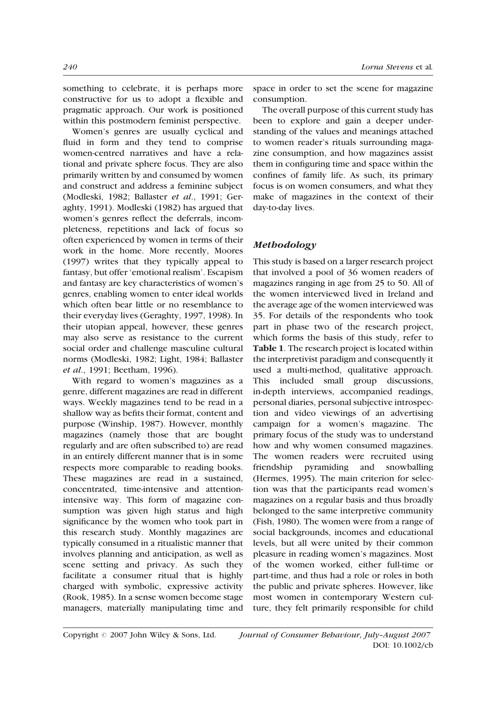something to celebrate, it is perhaps more constructive for us to adopt a flexible and pragmatic approach. Our work is positioned within this postmodern feminist perspective.

Women's genres are usually cyclical and fluid in form and they tend to comprise women-centred narratives and have a relational and private sphere focus. They are also primarily written by and consumed by women and construct and address a feminine subject (Modleski, 1982; Ballaster et al., 1991; Geraghty, 1991). Modleski (1982) has argued that women's genres reflect the deferrals, incompleteness, repetitions and lack of focus so often experienced by women in terms of their work in the home. More recently, Moores (1997) writes that they typically appeal to fantasy, but offer 'emotional realism'. Escapism and fantasy are key characteristics of women's genres, enabling women to enter ideal worlds which often bear little or no resemblance to their everyday lives (Geraghty, 1997, 1998). In their utopian appeal, however, these genres may also serve as resistance to the current social order and challenge masculine cultural norms (Modleski, 1982; Light, 1984; Ballaster et al., 1991; Beetham, 1996).

With regard to women's magazines as a genre, different magazines are read in different ways. Weekly magazines tend to be read in a shallow way as befits their format, content and purpose (Winship, 1987). However, monthly magazines (namely those that are bought regularly and are often subscribed to) are read in an entirely different manner that is in some respects more comparable to reading books. These magazines are read in a sustained, concentrated, time-intensive and attentionintensive way. This form of magazine consumption was given high status and high significance by the women who took part in this research study. Monthly magazines are typically consumed in a ritualistic manner that involves planning and anticipation, as well as scene setting and privacy. As such they facilitate a consumer ritual that is highly charged with symbolic, expressive activity (Rook, 1985). In a sense women become stage managers, materially manipulating time and

space in order to set the scene for magazine consumption.

The overall purpose of this current study has been to explore and gain a deeper understanding of the values and meanings attached to women reader's rituals surrounding magazine consumption, and how magazines assist them in configuring time and space within the confines of family life. As such, its primary focus is on women consumers, and what they make of magazines in the context of their day-to-day lives.

# Methodology

This study is based on a larger research project that involved a pool of 36 women readers of magazines ranging in age from 25 to 50. All of the women interviewed lived in Ireland and the average age of the women interviewed was 35. For details of the respondents who took part in phase two of the research project, which forms the basis of this study, refer to Table 1. The research project is located within the interpretivist paradigm and consequently it used a multi-method, qualitative approach. This included small group discussions, in-depth interviews, accompanied readings, personal diaries, personal subjective introspection and video viewings of an advertising campaign for a women's magazine. The primary focus of the study was to understand how and why women consumed magazines. The women readers were recruited using friendship pyramiding and snowballing (Hermes, 1995). The main criterion for selection was that the participants read women's magazines on a regular basis and thus broadly belonged to the same interpretive community (Fish, 1980). The women were from a range of social backgrounds, incomes and educational levels, but all were united by their common pleasure in reading women's magazines. Most of the women worked, either full-time or part-time, and thus had a role or roles in both the public and private spheres. However, like most women in contemporary Western culture, they felt primarily responsible for child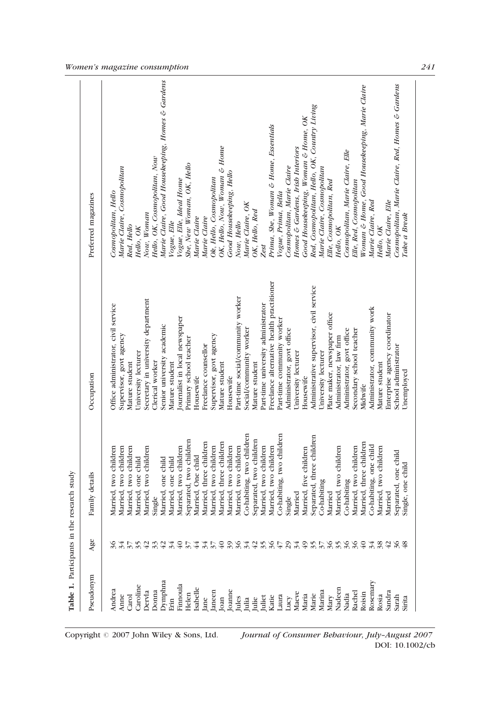| Co-habiting, two children<br>Co-habiting, two children<br>Separated, three children<br>Idren<br>Idren<br>Married, three children<br>Married, three children<br>Married, three children<br>Married, two children<br>Co-habiting, one child<br>Married, two children<br>Married, two children<br>Married, two children<br>Married, two children<br>Married, two children<br>Married, two children<br>Married, two children<br>Married, two children<br>two children<br>two children<br>Married, two children<br>Married, two children<br>Married, five children<br>Separated, one child<br>Married, One child<br>Separated, two chi<br>Separated, two chi<br>Married, one child<br>Married, one child<br>Married, one child<br>Co-habiting<br>Co-habiting<br>Married,<br>Married,<br>Married<br>Married<br>Married<br>Single<br>Single<br>34<br>3588<br>36<br>36<br>34<br>35<br>42<br>33<br>39<br>42.5<br>36<br>29<br>34<br>49<br>$\overline{40}$<br>38<br>36<br>$\overline{\mathcal{E}}$<br>42<br>34<br>$\overline{40}$<br>37<br>$\widehat{\mathcal{A}}$<br>47<br>34<br>42<br>$\overline{\mathcal{E}}$<br>44<br>Dymphna<br>Rosemary<br>Finnoula<br>Caroline<br>Isabelle<br>Nadeen<br>Andrea<br><b>Joanne</b><br>Marina<br>Donna<br>laneen<br>Sandra<br>Dervla<br>Rachel<br>Maeve<br>Helen<br>Roisin<br>Nadia<br>Marie<br>Maria<br>Carol<br>Rosia<br>Anne<br>Laura<br>Sarah<br>Juliet<br>Mary<br>Katie<br>Jules<br>Joan<br>Lucy<br>Jane<br>Julia<br>Julie<br>Erin | Occupation                                | Preferred magazines                              |
|-----------------------------------------------------------------------------------------------------------------------------------------------------------------------------------------------------------------------------------------------------------------------------------------------------------------------------------------------------------------------------------------------------------------------------------------------------------------------------------------------------------------------------------------------------------------------------------------------------------------------------------------------------------------------------------------------------------------------------------------------------------------------------------------------------------------------------------------------------------------------------------------------------------------------------------------------------------------------------------------------------------------------------------------------------------------------------------------------------------------------------------------------------------------------------------------------------------------------------------------------------------------------------------------------------------------------------------------------------------------------------------------------------------------------------------------------------------------|-------------------------------------------|--------------------------------------------------|
|                                                                                                                                                                                                                                                                                                                                                                                                                                                                                                                                                                                                                                                                                                                                                                                                                                                                                                                                                                                                                                                                                                                                                                                                                                                                                                                                                                                                                                                                 | Office administrator, civil service       | Cosmopolitan, Hello                              |
|                                                                                                                                                                                                                                                                                                                                                                                                                                                                                                                                                                                                                                                                                                                                                                                                                                                                                                                                                                                                                                                                                                                                                                                                                                                                                                                                                                                                                                                                 | Supervisor, govt agency                   | Marie Claire, Cosmopolitan                       |
|                                                                                                                                                                                                                                                                                                                                                                                                                                                                                                                                                                                                                                                                                                                                                                                                                                                                                                                                                                                                                                                                                                                                                                                                                                                                                                                                                                                                                                                                 | Mature student                            | Red, Hello                                       |
|                                                                                                                                                                                                                                                                                                                                                                                                                                                                                                                                                                                                                                                                                                                                                                                                                                                                                                                                                                                                                                                                                                                                                                                                                                                                                                                                                                                                                                                                 | University lecturer                       | Hello, OK                                        |
|                                                                                                                                                                                                                                                                                                                                                                                                                                                                                                                                                                                                                                                                                                                                                                                                                                                                                                                                                                                                                                                                                                                                                                                                                                                                                                                                                                                                                                                                 | Secretary in university department        | Now, Woman                                       |
|                                                                                                                                                                                                                                                                                                                                                                                                                                                                                                                                                                                                                                                                                                                                                                                                                                                                                                                                                                                                                                                                                                                                                                                                                                                                                                                                                                                                                                                                 | Clerical worker                           | Hello, OK, Cosmopolitan, Now                     |
|                                                                                                                                                                                                                                                                                                                                                                                                                                                                                                                                                                                                                                                                                                                                                                                                                                                                                                                                                                                                                                                                                                                                                                                                                                                                                                                                                                                                                                                                 | Senior university academic                | Marie Claire, Good Housekeeping, Homes & Gardens |
|                                                                                                                                                                                                                                                                                                                                                                                                                                                                                                                                                                                                                                                                                                                                                                                                                                                                                                                                                                                                                                                                                                                                                                                                                                                                                                                                                                                                                                                                 | Mature student                            | Vogue, Elle                                      |
|                                                                                                                                                                                                                                                                                                                                                                                                                                                                                                                                                                                                                                                                                                                                                                                                                                                                                                                                                                                                                                                                                                                                                                                                                                                                                                                                                                                                                                                                 | Journalist in local newspaper             | Vogue, Elle, Ideal Home                          |
|                                                                                                                                                                                                                                                                                                                                                                                                                                                                                                                                                                                                                                                                                                                                                                                                                                                                                                                                                                                                                                                                                                                                                                                                                                                                                                                                                                                                                                                                 | Primary school teacher                    | She, New Woman, OK, Hello                        |
|                                                                                                                                                                                                                                                                                                                                                                                                                                                                                                                                                                                                                                                                                                                                                                                                                                                                                                                                                                                                                                                                                                                                                                                                                                                                                                                                                                                                                                                                 | Housewife                                 | Marie Claire                                     |
|                                                                                                                                                                                                                                                                                                                                                                                                                                                                                                                                                                                                                                                                                                                                                                                                                                                                                                                                                                                                                                                                                                                                                                                                                                                                                                                                                                                                                                                                 | Freelance counsellor                      | Marie Claire                                     |
|                                                                                                                                                                                                                                                                                                                                                                                                                                                                                                                                                                                                                                                                                                                                                                                                                                                                                                                                                                                                                                                                                                                                                                                                                                                                                                                                                                                                                                                                 | Supervisor, govt agency                   | Ok, Hello, Cosmopolitan                          |
|                                                                                                                                                                                                                                                                                                                                                                                                                                                                                                                                                                                                                                                                                                                                                                                                                                                                                                                                                                                                                                                                                                                                                                                                                                                                                                                                                                                                                                                                 | Mature student                            | OK, Hello, Now, Woman & Home                     |
|                                                                                                                                                                                                                                                                                                                                                                                                                                                                                                                                                                                                                                                                                                                                                                                                                                                                                                                                                                                                                                                                                                                                                                                                                                                                                                                                                                                                                                                                 | Housewife                                 | Good Housekeeping, Hello                         |
|                                                                                                                                                                                                                                                                                                                                                                                                                                                                                                                                                                                                                                                                                                                                                                                                                                                                                                                                                                                                                                                                                                                                                                                                                                                                                                                                                                                                                                                                 | Part-time social/community worker         | Now, Hello                                       |
|                                                                                                                                                                                                                                                                                                                                                                                                                                                                                                                                                                                                                                                                                                                                                                                                                                                                                                                                                                                                                                                                                                                                                                                                                                                                                                                                                                                                                                                                 | Social/community worker                   | Marie Claire, OK                                 |
|                                                                                                                                                                                                                                                                                                                                                                                                                                                                                                                                                                                                                                                                                                                                                                                                                                                                                                                                                                                                                                                                                                                                                                                                                                                                                                                                                                                                                                                                 | Mature student                            | OK, Hello, Red                                   |
|                                                                                                                                                                                                                                                                                                                                                                                                                                                                                                                                                                                                                                                                                                                                                                                                                                                                                                                                                                                                                                                                                                                                                                                                                                                                                                                                                                                                                                                                 | Part-time university administrator        | Zest                                             |
|                                                                                                                                                                                                                                                                                                                                                                                                                                                                                                                                                                                                                                                                                                                                                                                                                                                                                                                                                                                                                                                                                                                                                                                                                                                                                                                                                                                                                                                                 | Freelance alternative health practitioner | Prima, She, Woman & Home, Essentials             |
|                                                                                                                                                                                                                                                                                                                                                                                                                                                                                                                                                                                                                                                                                                                                                                                                                                                                                                                                                                                                                                                                                                                                                                                                                                                                                                                                                                                                                                                                 | Part-time community worker                | Vogue, Prima, Bella                              |
|                                                                                                                                                                                                                                                                                                                                                                                                                                                                                                                                                                                                                                                                                                                                                                                                                                                                                                                                                                                                                                                                                                                                                                                                                                                                                                                                                                                                                                                                 | Administrator, govt office                | Cosmopolitan, Marie Claire                       |
|                                                                                                                                                                                                                                                                                                                                                                                                                                                                                                                                                                                                                                                                                                                                                                                                                                                                                                                                                                                                                                                                                                                                                                                                                                                                                                                                                                                                                                                                 | University lecturer                       | Homes & Gardens, Irish Interiors                 |
|                                                                                                                                                                                                                                                                                                                                                                                                                                                                                                                                                                                                                                                                                                                                                                                                                                                                                                                                                                                                                                                                                                                                                                                                                                                                                                                                                                                                                                                                 | Housewife                                 | Good Housekeeping, Woman & Home, OK              |
|                                                                                                                                                                                                                                                                                                                                                                                                                                                                                                                                                                                                                                                                                                                                                                                                                                                                                                                                                                                                                                                                                                                                                                                                                                                                                                                                                                                                                                                                 | Administrative supervisor, civil service  | Red, Cosmopolitan, Hello, OK, Country Living     |
|                                                                                                                                                                                                                                                                                                                                                                                                                                                                                                                                                                                                                                                                                                                                                                                                                                                                                                                                                                                                                                                                                                                                                                                                                                                                                                                                                                                                                                                                 | University lecturer                       | Marie Claire, Cosmopolitan                       |
|                                                                                                                                                                                                                                                                                                                                                                                                                                                                                                                                                                                                                                                                                                                                                                                                                                                                                                                                                                                                                                                                                                                                                                                                                                                                                                                                                                                                                                                                 | Plate maker, newspaper office             | Elle, Cosmopolitan, Red                          |
|                                                                                                                                                                                                                                                                                                                                                                                                                                                                                                                                                                                                                                                                                                                                                                                                                                                                                                                                                                                                                                                                                                                                                                                                                                                                                                                                                                                                                                                                 | Administrator, law firm                   | Hello, OK                                        |
|                                                                                                                                                                                                                                                                                                                                                                                                                                                                                                                                                                                                                                                                                                                                                                                                                                                                                                                                                                                                                                                                                                                                                                                                                                                                                                                                                                                                                                                                 | Administrator, govt office                | Cosmopolitan, Marie Claire, Elle                 |
|                                                                                                                                                                                                                                                                                                                                                                                                                                                                                                                                                                                                                                                                                                                                                                                                                                                                                                                                                                                                                                                                                                                                                                                                                                                                                                                                                                                                                                                                 | Secondary school teacher                  | Elle, Red, Cosmopolitan                          |
|                                                                                                                                                                                                                                                                                                                                                                                                                                                                                                                                                                                                                                                                                                                                                                                                                                                                                                                                                                                                                                                                                                                                                                                                                                                                                                                                                                                                                                                                 | Midwife                                   | Woman & Home, Good Housekeeping, Marie Claire    |
|                                                                                                                                                                                                                                                                                                                                                                                                                                                                                                                                                                                                                                                                                                                                                                                                                                                                                                                                                                                                                                                                                                                                                                                                                                                                                                                                                                                                                                                                 | Administrator, community work             | Marie Claire, Red                                |
|                                                                                                                                                                                                                                                                                                                                                                                                                                                                                                                                                                                                                                                                                                                                                                                                                                                                                                                                                                                                                                                                                                                                                                                                                                                                                                                                                                                                                                                                 | Mature student                            | Hello, OK                                        |
|                                                                                                                                                                                                                                                                                                                                                                                                                                                                                                                                                                                                                                                                                                                                                                                                                                                                                                                                                                                                                                                                                                                                                                                                                                                                                                                                                                                                                                                                 | Enterprise agency coordinator             | Marie Claire, Elle                               |
|                                                                                                                                                                                                                                                                                                                                                                                                                                                                                                                                                                                                                                                                                                                                                                                                                                                                                                                                                                                                                                                                                                                                                                                                                                                                                                                                                                                                                                                                 | School administrator                      | Cosmopolitan, Marie Claire, Red, Homes & Gardens |
| Single, one child<br>$\frac{48}{5}$<br>Sirita                                                                                                                                                                                                                                                                                                                                                                                                                                                                                                                                                                                                                                                                                                                                                                                                                                                                                                                                                                                                                                                                                                                                                                                                                                                                                                                                                                                                                   | Unemployed                                | Take a Break                                     |

Copyright  $\odot$  2007 John Wiley & Sons, Ltd. Journal of Consumer Behaviour, July-August 2007 DOI: 10.1002/cb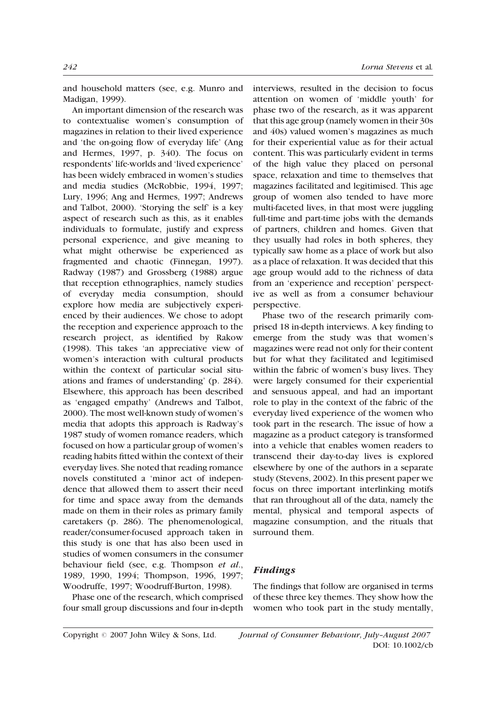and household matters (see, e.g. Munro and Madigan, 1999).

An important dimension of the research was to contextualise women's consumption of magazines in relation to their lived experience and 'the on-going flow of everyday life' (Ang and Hermes, 1997, p. 340). The focus on respondents' life-worlds and 'lived experience' has been widely embraced in women's studies and media studies (McRobbie, 1994, 1997; Lury, 1996; Ang and Hermes, 1997; Andrews and Talbot, 2000). 'Storying the self' is a key aspect of research such as this, as it enables individuals to formulate, justify and express personal experience, and give meaning to what might otherwise be experienced as fragmented and chaotic (Finnegan, 1997). Radway (1987) and Grossberg (1988) argue that reception ethnographies, namely studies of everyday media consumption, should explore how media are subjectively experienced by their audiences. We chose to adopt the reception and experience approach to the research project, as identified by Rakow (1998). This takes 'an appreciative view of women's interaction with cultural products within the context of particular social situations and frames of understanding' (p. 284). Elsewhere, this approach has been described as 'engaged empathy' (Andrews and Talbot, 2000). The most well-known study of women's media that adopts this approach is Radway's 1987 study of women romance readers, which focused on how a particular group of women's reading habits fitted within the context of their everyday lives. She noted that reading romance novels constituted a 'minor act of independence that allowed them to assert their need for time and space away from the demands made on them in their roles as primary family caretakers (p. 286). The phenomenological, reader/consumer-focused approach taken in this study is one that has also been used in studies of women consumers in the consumer behaviour field (see, e.g. Thompson et al., 1989, 1990, 1994; Thompson, 1996, 1997; Woodruffe, 1997; Woodruff-Burton, 1998).

Phase one of the research, which comprised four small group discussions and four in-depth interviews, resulted in the decision to focus attention on women of 'middle youth' for phase two of the research, as it was apparent that this age group (namely women in their 30s and 40s) valued women's magazines as much for their experiential value as for their actual content. This was particularly evident in terms of the high value they placed on personal space, relaxation and time to themselves that magazines facilitated and legitimised. This age group of women also tended to have more multi-faceted lives, in that most were juggling full-time and part-time jobs with the demands of partners, children and homes. Given that they usually had roles in both spheres, they typically saw home as a place of work but also as a place of relaxation. It was decided that this age group would add to the richness of data from an 'experience and reception' perspective as well as from a consumer behaviour perspective.

Phase two of the research primarily comprised 18 in-depth interviews. A key finding to emerge from the study was that women's magazines were read not only for their content but for what they facilitated and legitimised within the fabric of women's busy lives. They were largely consumed for their experiential and sensuous appeal, and had an important role to play in the context of the fabric of the everyday lived experience of the women who took part in the research. The issue of how a magazine as a product category is transformed into a vehicle that enables women readers to transcend their day-to-day lives is explored elsewhere by one of the authors in a separate study (Stevens, 2002). In this present paper we focus on three important interlinking motifs that ran throughout all of the data, namely the mental, physical and temporal aspects of magazine consumption, and the rituals that surround them.

## Findings

The findings that follow are organised in terms of these three key themes. They show how the women who took part in the study mentally,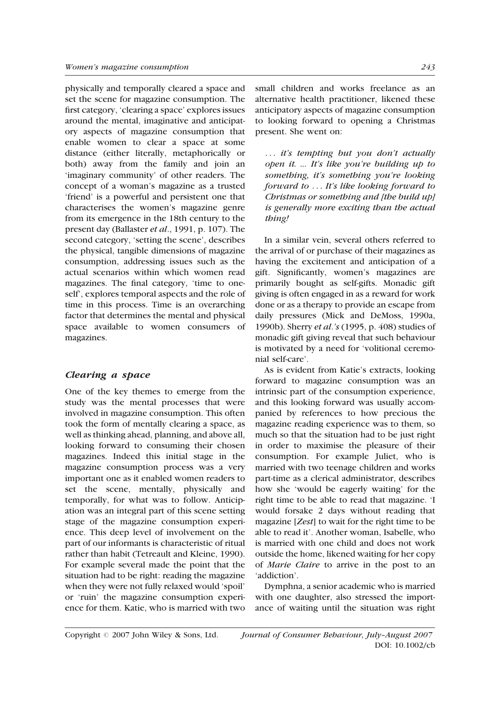physically and temporally cleared a space and set the scene for magazine consumption. The first category, 'clearing a space' explores issues around the mental, imaginative and anticipatory aspects of magazine consumption that enable women to clear a space at some distance (either literally, metaphorically or both) away from the family and join an 'imaginary community' of other readers. The concept of a woman's magazine as a trusted 'friend' is a powerful and persistent one that characterises the women's magazine genre from its emergence in the 18th century to the present day (Ballaster et al., 1991, p. 107). The second category, 'setting the scene', describes the physical, tangible dimensions of magazine consumption, addressing issues such as the actual scenarios within which women read magazines. The final category, 'time to oneself', explores temporal aspects and the role of time in this process. Time is an overarching factor that determines the mental and physical space available to women consumers of magazines.

#### Clearing a space

One of the key themes to emerge from the study was the mental processes that were involved in magazine consumption. This often took the form of mentally clearing a space, as well as thinking ahead, planning, and above all, looking forward to consuming their chosen magazines. Indeed this initial stage in the magazine consumption process was a very important one as it enabled women readers to set the scene, mentally, physically and temporally, for what was to follow. Anticipation was an integral part of this scene setting stage of the magazine consumption experience. This deep level of involvement on the part of our informants is characteristic of ritual rather than habit (Tetreault and Kleine, 1990). For example several made the point that the situation had to be right: reading the magazine when they were not fully relaxed would 'spoil' or 'ruin' the magazine consumption experience for them. Katie, who is married with two

small children and works freelance as an alternative health practitioner, likened these anticipatory aspects of magazine consumption to looking forward to opening a Christmas present. She went on:

... it's tempting but you don't actually open it. ... It's like you're building up to something, it's something you're looking forward to ... It's like looking forward to Christmas or something and [the build up] is generally more exciting than the actual thing!

In a similar vein, several others referred to the arrival of or purchase of their magazines as having the excitement and anticipation of a gift. Significantly, women's magazines are primarily bought as self-gifts. Monadic gift giving is often engaged in as a reward for work done or as a therapy to provide an escape from daily pressures (Mick and DeMoss, 1990a, 1990b). Sherry et al.'s (1995, p. 408) studies of monadic gift giving reveal that such behaviour is motivated by a need for 'volitional ceremonial self-care'.

As is evident from Katie's extracts, looking forward to magazine consumption was an intrinsic part of the consumption experience, and this looking forward was usually accompanied by references to how precious the magazine reading experience was to them, so much so that the situation had to be just right in order to maximise the pleasure of their consumption. For example Juliet, who is married with two teenage children and works part-time as a clerical administrator, describes how she 'would be eagerly waiting' for the right time to be able to read that magazine. 'I would forsake 2 days without reading that magazine [Zest] to wait for the right time to be able to read it'. Another woman, Isabelle, who is married with one child and does not work outside the home, likened waiting for her copy of Marie Claire to arrive in the post to an 'addiction'.

Dymphna, a senior academic who is married with one daughter, also stressed the importance of waiting until the situation was right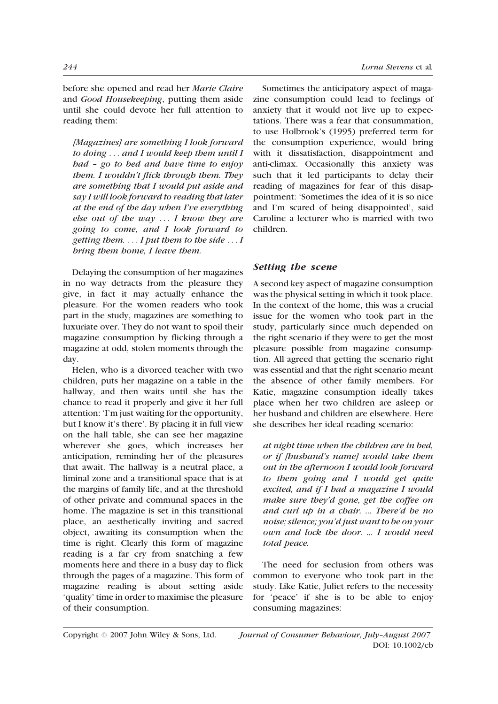before she opened and read her Marie Claire and Good Housekeeping, putting them aside until she could devote her full attention to reading them:

[Magazines] are something I look forward to doing ... and I would keep them until I had – go to bed and have time to enjoy them. I wouldn't flick through them. They are something that I would put aside and say I will look forward to reading that later at the end of the day when I've everything else out of the way ... I know they are going to come, and I look forward to getting them. ... I put them to the side ... I bring them home, I leave them.

Delaying the consumption of her magazines in no way detracts from the pleasure they give, in fact it may actually enhance the pleasure. For the women readers who took part in the study, magazines are something to luxuriate over. They do not want to spoil their magazine consumption by flicking through a magazine at odd, stolen moments through the day.

Helen, who is a divorced teacher with two children, puts her magazine on a table in the hallway, and then waits until she has the chance to read it properly and give it her full attention: 'I'm just waiting for the opportunity, but I know it's there'. By placing it in full view on the hall table, she can see her magazine wherever she goes, which increases her anticipation, reminding her of the pleasures that await. The hallway is a neutral place, a liminal zone and a transitional space that is at the margins of family life, and at the threshold of other private and communal spaces in the home. The magazine is set in this transitional place, an aesthetically inviting and sacred object, awaiting its consumption when the time is right. Clearly this form of magazine reading is a far cry from snatching a few moments here and there in a busy day to flick through the pages of a magazine. This form of magazine reading is about setting aside 'quality' time in order to maximise the pleasure of their consumption.

Sometimes the anticipatory aspect of magazine consumption could lead to feelings of anxiety that it would not live up to expectations. There was a fear that consummation, to use Holbrook's (1995) preferred term for the consumption experience, would bring with it dissatisfaction, disappointment and anti-climax. Occasionally this anxiety was such that it led participants to delay their reading of magazines for fear of this disappointment: 'Sometimes the idea of it is so nice and I'm scared of being disappointed', said Caroline a lecturer who is married with two children.

## Setting the scene

A second key aspect of magazine consumption was the physical setting in which it took place. In the context of the home, this was a crucial issue for the women who took part in the study, particularly since much depended on the right scenario if they were to get the most pleasure possible from magazine consumption. All agreed that getting the scenario right was essential and that the right scenario meant the absence of other family members. For Katie, magazine consumption ideally takes place when her two children are asleep or her husband and children are elsewhere. Here she describes her ideal reading scenario:

at night time when the children are in bed, or if [husband's name] would take them out in the afternoon I would look forward to them going and I would get quite excited, and if I had a magazine I would make sure they'd gone, get the coffee on and curl up in a chair. ... There'd be no noise; silence; you'd just want to be on your own and lock the door. ... I would need total peace.

The need for seclusion from others was common to everyone who took part in the study. Like Katie, Juliet refers to the necessity for 'peace' if she is to be able to enjoy consuming magazines: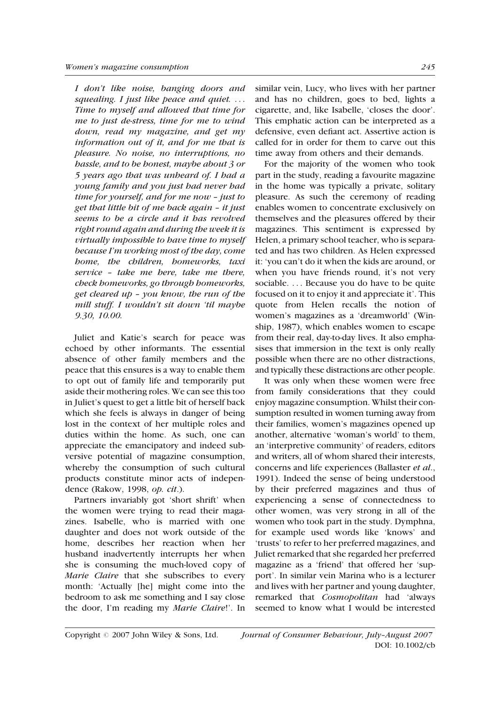I don't like noise, banging doors and squealing. I just like peace and quiet. ... Time to myself and allowed that time for me to just de-stress, time for me to wind down, read my magazine, and get my information out of it, and for me that is pleasure. No noise, no interruptions, no hassle, and to be honest, maybe about 3 or 5 years ago that was unheard of. I had a young family and you just had never had time for yourself, and for me now – just to get that little bit of me back again – it just seems to be a circle and it has revolved right round again and during the week it is virtually impossible to have time to myself because I'm working most of the day, come home, the children, homeworks, taxi service – take me here, take me there, check homeworks, go through homeworks, get cleared up – you know, the run of the mill stuff. I wouldn't sit down 'til maybe 9.30, 10.00.

Juliet and Katie's search for peace was echoed by other informants. The essential absence of other family members and the peace that this ensures is a way to enable them to opt out of family life and temporarily put aside their mothering roles. We can see this too in Juliet's quest to get a little bit of herself back which she feels is always in danger of being lost in the context of her multiple roles and duties within the home. As such, one can appreciate the emancipatory and indeed subversive potential of magazine consumption, whereby the consumption of such cultural products constitute minor acts of independence (Rakow, 1998, op. cit.).

Partners invariably got 'short shrift' when the women were trying to read their magazines. Isabelle, who is married with one daughter and does not work outside of the home, describes her reaction when her husband inadvertently interrupts her when she is consuming the much-loved copy of Marie Claire that she subscribes to every month: 'Actually [he] might come into the bedroom to ask me something and I say close the door, I'm reading my Marie Claire!'. In

similar vein, Lucy, who lives with her partner and has no children, goes to bed, lights a cigarette, and, like Isabelle, 'closes the door'. This emphatic action can be interpreted as a defensive, even defiant act. Assertive action is called for in order for them to carve out this time away from others and their demands.

For the majority of the women who took part in the study, reading a favourite magazine in the home was typically a private, solitary pleasure. As such the ceremony of reading enables women to concentrate exclusively on themselves and the pleasures offered by their magazines. This sentiment is expressed by Helen, a primary school teacher, who is separated and has two children. As Helen expressed it: 'you can't do it when the kids are around, or when you have friends round, it's not very sociable. ... Because you do have to be quite focused on it to enjoy it and appreciate it'. This quote from Helen recalls the notion of women's magazines as a 'dreamworld' (Winship, 1987), which enables women to escape from their real, day-to-day lives. It also emphasises that immersion in the text is only really possible when there are no other distractions, and typically these distractions are other people.

It was only when these women were free from family considerations that they could enjoy magazine consumption. Whilst their consumption resulted in women turning away from their families, women's magazines opened up another, alternative 'woman's world' to them, an 'interpretive community' of readers, editors and writers, all of whom shared their interests, concerns and life experiences (Ballaster et al., 1991). Indeed the sense of being understood by their preferred magazines and thus of experiencing a sense of connectedness to other women, was very strong in all of the women who took part in the study. Dymphna, for example used words like 'knows' and 'trusts' to refer to her preferred magazines, and Juliet remarked that she regarded her preferred magazine as a 'friend' that offered her 'support'. In similar vein Marina who is a lecturer and lives with her partner and young daughter, remarked that Cosmopolitan had 'always seemed to know what I would be interested

Copyright  $\odot$  2007 John Wiley & Sons, Ltd. Journal of Consumer Behaviour, July-August 2007 DOI: 10.1002/cb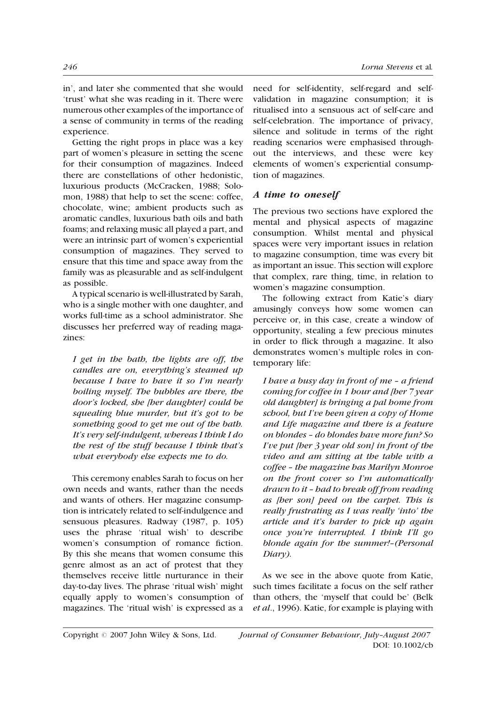in', and later she commented that she would 'trust' what she was reading in it. There were numerous other examples of the importance of a sense of community in terms of the reading experience.

Getting the right props in place was a key part of women's pleasure in setting the scene for their consumption of magazines. Indeed there are constellations of other hedonistic, luxurious products (McCracken, 1988; Solomon, 1988) that help to set the scene: coffee, chocolate, wine; ambient products such as aromatic candles, luxurious bath oils and bath foams; and relaxing music all played a part, and were an intrinsic part of women's experiential consumption of magazines. They served to ensure that this time and space away from the family was as pleasurable and as self-indulgent as possible.

A typical scenario is well-illustrated by Sarah, who is a single mother with one daughter, and works full-time as a school administrator. She discusses her preferred way of reading magazines:

I get in the bath, the lights are off, the candles are on, everything's steamed up because I have to have it so I'm nearly boiling myself. The bubbles are there, the door's locked, she [her daughter] could be squealing blue murder, but it's got to be something good to get me out of the bath. It's very self-indulgent, whereas I think I do the rest of the stuff because I think that's what everybody else expects me to do.

This ceremony enables Sarah to focus on her own needs and wants, rather than the needs and wants of others. Her magazine consumption is intricately related to self-indulgence and sensuous pleasures. Radway (1987, p. 105) uses the phrase 'ritual wish' to describe women's consumption of romance fiction. By this she means that women consume this genre almost as an act of protest that they themselves receive little nurturance in their day-to-day lives. The phrase 'ritual wish' might equally apply to women's consumption of magazines. The 'ritual wish' is expressed as a

need for self-identity, self-regard and selfvalidation in magazine consumption; it is ritualised into a sensuous act of self-care and self-celebration. The importance of privacy, silence and solitude in terms of the right reading scenarios were emphasised throughout the interviews, and these were key elements of women's experiential consumption of magazines.

## A time to oneself

The previous two sections have explored the mental and physical aspects of magazine consumption. Whilst mental and physical spaces were very important issues in relation to magazine consumption, time was every bit as important an issue. This section will explore that complex, rare thing, time, in relation to women's magazine consumption.

The following extract from Katie's diary amusingly conveys how some women can perceive or, in this case, create a window of opportunity, stealing a few precious minutes in order to flick through a magazine. It also demonstrates women's multiple roles in contemporary life:

I have a busy day in front of me – a friend coming for coffee in 1 hour and [her 7 year old daughter] is bringing a pal home from school, but I've been given a copy of Home and Life magazine and there is a feature on blondes – do blondes have more fun? So I've put [her 3 year old son] in front of the video and am sitting at the table with a coffee – the magazine has Marilyn Monroe on the front cover so I'm automatically drawn to it – had to break off from reading as [her son] peed on the carpet. This is really frustrating as I was really 'into' the article and it's harder to pick up again once you're interrupted. I think I'll go blonde again for the summer!–(Personal Diary).

As we see in the above quote from Katie, such times facilitate a focus on the self rather than others, the 'myself that could be' (Belk et al., 1996). Katie, for example is playing with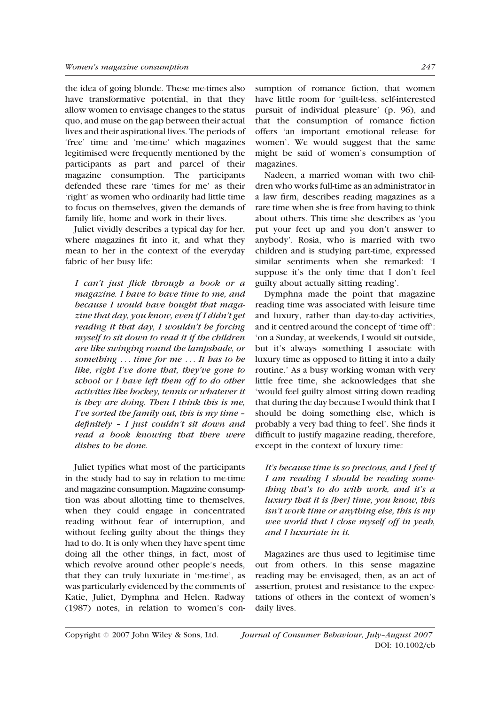the idea of going blonde. These me-times also have transformative potential, in that they allow women to envisage changes to the status quo, and muse on the gap between their actual lives and their aspirational lives. The periods of 'free' time and 'me-time' which magazines legitimised were frequently mentioned by the participants as part and parcel of their magazine consumption. The participants defended these rare 'times for me' as their 'right' as women who ordinarily had little time to focus on themselves, given the demands of family life, home and work in their lives.

Juliet vividly describes a typical day for her, where magazines fit into it, and what they mean to her in the context of the everyday fabric of her busy life:

I can't just flick through a book or a magazine. I have to have time to me, and because I would have bought that magazine that day, you know, even if I didn't get reading it that day, I wouldn't be forcing myself to sit down to read it if the children are like swinging round the lampshade, or something ... time for me ... It has to be like, right I've done that, they've gone to school or I have left them off to do other activities like hockey, tennis or whatever it is they are doing. Then I think this is me, I've sorted the family out, this is my time – definitely – I just couldn't sit down and read a book knowing that there were dishes to be done.

Juliet typifies what most of the participants in the study had to say in relation to me-time and magazine consumption. Magazine consumption was about allotting time to themselves, when they could engage in concentrated reading without fear of interruption, and without feeling guilty about the things they had to do. It is only when they have spent time doing all the other things, in fact, most of which revolve around other people's needs, that they can truly luxuriate in 'me-time', as was particularly evidenced by the comments of Katie, Juliet, Dymphna and Helen. Radway (1987) notes, in relation to women's con-

sumption of romance fiction, that women have little room for 'guilt-less, self-interested pursuit of individual pleasure' (p. 96), and that the consumption of romance fiction offers 'an important emotional release for women'. We would suggest that the same might be said of women's consumption of magazines.

Nadeen, a married woman with two children who works full-time as an administrator in a law firm, describes reading magazines as a rare time when she is free from having to think about others. This time she describes as 'you put your feet up and you don't answer to anybody'. Rosia, who is married with two children and is studying part-time, expressed similar sentiments when she remarked: 'I suppose it's the only time that I don't feel guilty about actually sitting reading'.

Dymphna made the point that magazine reading time was associated with leisure time and luxury, rather than day-to-day activities, and it centred around the concept of 'time off': 'on a Sunday, at weekends, I would sit outside, but it's always something I associate with luxury time as opposed to fitting it into a daily routine.' As a busy working woman with very little free time, she acknowledges that she 'would feel guilty almost sitting down reading that during the day because I would think that I should be doing something else, which is probably a very bad thing to feel'. She finds it difficult to justify magazine reading, therefore, except in the context of luxury time:

It's because time is so precious, and I feel if I am reading I should be reading something that's to do with work, and it's a luxury that it is [her] time, you know, this isn't work time or anything else, this is my wee world that I close myself off in yeah, and I luxuriate in it.

Magazines are thus used to legitimise time out from others. In this sense magazine reading may be envisaged, then, as an act of assertion, protest and resistance to the expectations of others in the context of women's daily lives.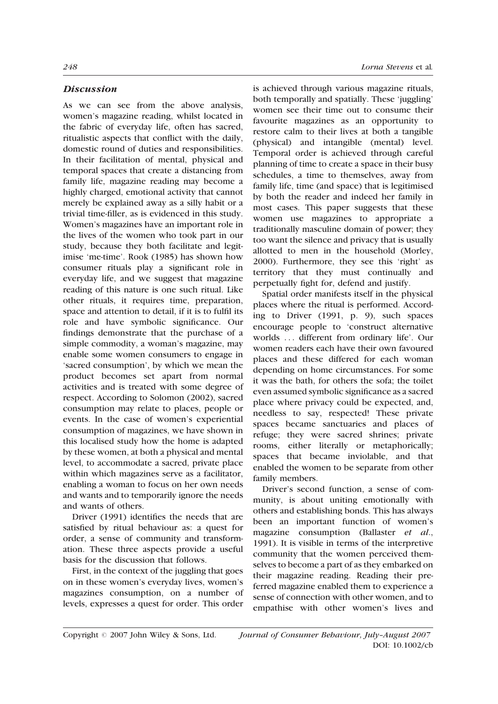#### **Discussion**

As we can see from the above analysis, women's magazine reading, whilst located in the fabric of everyday life, often has sacred, ritualistic aspects that conflict with the daily, domestic round of duties and responsibilities. In their facilitation of mental, physical and temporal spaces that create a distancing from family life, magazine reading may become a highly charged, emotional activity that cannot merely be explained away as a silly habit or a trivial time-filler, as is evidenced in this study. Women's magazines have an important role in the lives of the women who took part in our study, because they both facilitate and legitimise 'me-time'. Rook (1985) has shown how consumer rituals play a significant role in everyday life, and we suggest that magazine reading of this nature is one such ritual. Like other rituals, it requires time, preparation, space and attention to detail, if it is to fulfil its role and have symbolic significance. Our findings demonstrate that the purchase of a simple commodity, a woman's magazine, may enable some women consumers to engage in 'sacred consumption', by which we mean the product becomes set apart from normal activities and is treated with some degree of respect. According to Solomon (2002), sacred consumption may relate to places, people or events. In the case of women's experiential consumption of magazines, we have shown in this localised study how the home is adapted by these women, at both a physical and mental level, to accommodate a sacred, private place within which magazines serve as a facilitator, enabling a woman to focus on her own needs and wants and to temporarily ignore the needs and wants of others.

Driver (1991) identifies the needs that are satisfied by ritual behaviour as: a quest for order, a sense of community and transformation. These three aspects provide a useful basis for the discussion that follows.

First, in the context of the juggling that goes on in these women's everyday lives, women's magazines consumption, on a number of levels, expresses a quest for order. This order

is achieved through various magazine rituals, both temporally and spatially. These 'juggling' women see their time out to consume their favourite magazines as an opportunity to restore calm to their lives at both a tangible (physical) and intangible (mental) level. Temporal order is achieved through careful planning of time to create a space in their busy schedules, a time to themselves, away from family life, time (and space) that is legitimised by both the reader and indeed her family in most cases. This paper suggests that these women use magazines to appropriate a traditionally masculine domain of power; they too want the silence and privacy that is usually allotted to men in the household (Morley, 2000). Furthermore, they see this 'right' as territory that they must continually and perpetually fight for, defend and justify.

Spatial order manifests itself in the physical places where the ritual is performed. According to Driver (1991, p. 9), such spaces encourage people to 'construct alternative worlds ... different from ordinary life'. Our women readers each have their own favoured places and these differed for each woman depending on home circumstances. For some it was the bath, for others the sofa; the toilet even assumed symbolic significance as a sacred place where privacy could be expected, and, needless to say, respected! These private spaces became sanctuaries and places of refuge; they were sacred shrines; private rooms, either literally or metaphorically; spaces that became inviolable, and that enabled the women to be separate from other family members.

Driver's second function, a sense of community, is about uniting emotionally with others and establishing bonds. This has always been an important function of women's magazine consumption (Ballaster et al., 1991). It is visible in terms of the interpretive community that the women perceived themselves to become a part of as they embarked on their magazine reading. Reading their preferred magazine enabled them to experience a sense of connection with other women, and to empathise with other women's lives and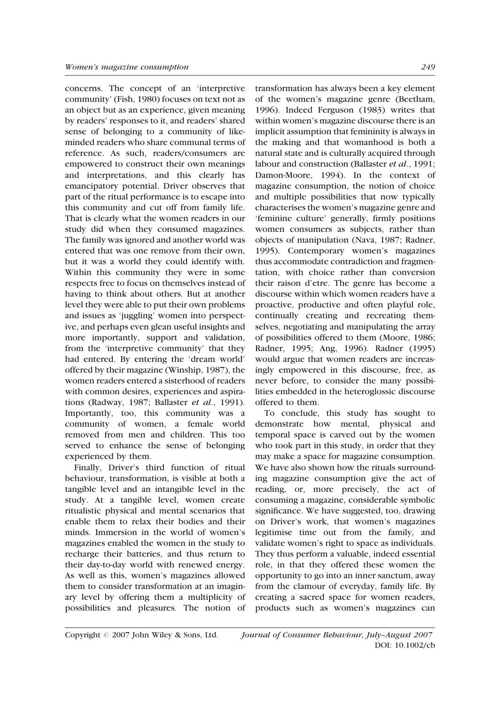concerns. The concept of an 'interpretive community' (Fish, 1980) focuses on text not as an object but as an experience, given meaning by readers' responses to it, and readers' shared sense of belonging to a community of likeminded readers who share communal terms of reference. As such, readers/consumers are empowered to construct their own meanings and interpretations, and this clearly has emancipatory potential. Driver observes that part of the ritual performance is to escape into this community and cut off from family life. That is clearly what the women readers in our study did when they consumed magazines. The family was ignored and another world was entered that was one remove from their own, but it was a world they could identify with. Within this community they were in some respects free to focus on themselves instead of having to think about others. But at another level they were able to put their own problems and issues as 'juggling' women into perspective, and perhaps even glean useful insights and more importantly, support and validation, from the 'interpretive community' that they had entered. By entering the 'dream world' offered by their magazine (Winship, 1987), the women readers entered a sisterhood of readers with common desires, experiences and aspirations (Radway, 1987; Ballaster et al., 1991). Importantly, too, this community was a community of women, a female world removed from men and children. This too served to enhance the sense of belonging experienced by them.

Finally, Driver's third function of ritual behaviour, transformation, is visible at both a tangible level and an intangible level in the study. At a tangible level, women create ritualistic physical and mental scenarios that enable them to relax their bodies and their minds. Immersion in the world of women's magazines enabled the women in the study to recharge their batteries, and thus return to their day-to-day world with renewed energy. As well as this, women's magazines allowed them to consider transformation at an imaginary level by offering them a multiplicity of possibilities and pleasures. The notion of

transformation has always been a key element of the women's magazine genre (Beetham, 1996). Indeed Ferguson (1983) writes that within women's magazine discourse there is an implicit assumption that femininity is always in the making and that womanhood is both a natural state and is culturally acquired through labour and construction (Ballaster *et al.*, 1991; Damon-Moore, 1994). In the context of magazine consumption, the notion of choice and multiple possibilities that now typically characterises the women's magazine genre and 'feminine culture' generally, firmly positions women consumers as subjects, rather than objects of manipulation (Nava, 1987; Radner, 1995). Contemporary women's magazines thus accommodate contradiction and fragmentation, with choice rather than conversion their raison d'etre. The genre has become a discourse within which women readers have a proactive, productive and often playful role, continually creating and recreating themselves, negotiating and manipulating the array of possibilities offered to them (Moore, 1986; Radner, 1995; Ang, 1996). Radner (1995) would argue that women readers are increasingly empowered in this discourse, free, as never before, to consider the many possibilities embedded in the heteroglossic discourse offered to them.

To conclude, this study has sought to demonstrate how mental, physical and temporal space is carved out by the women who took part in this study, in order that they may make a space for magazine consumption. We have also shown how the rituals surrounding magazine consumption give the act of reading, or, more precisely, the act of consuming a magazine, considerable symbolic significance. We have suggested, too, drawing on Driver's work, that women's magazines legitimise time out from the family, and validate women's right to space as individuals. They thus perform a valuable, indeed essential role, in that they offered these women the opportunity to go into an inner sanctum, away from the clamour of everyday, family life. By creating a sacred space for women readers, products such as women's magazines can

Copyright  $\odot$  2007 John Wiley & Sons, Ltd. Journal of Consumer Behaviour, July-August 2007 DOI: 10.1002/cb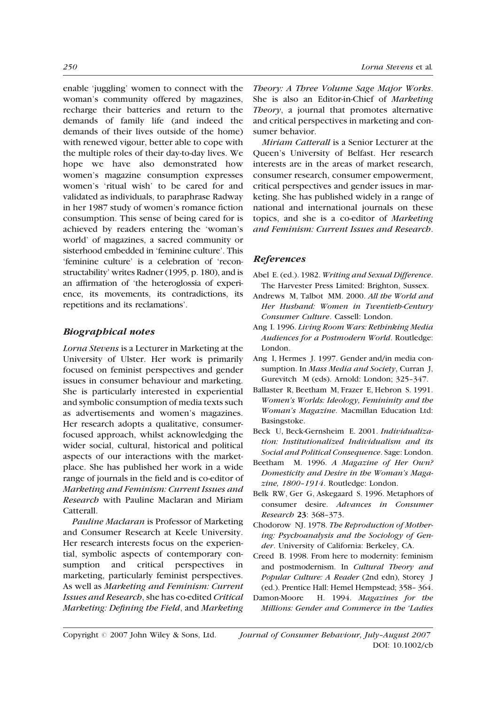enable 'juggling' women to connect with the woman's community offered by magazines, recharge their batteries and return to the demands of family life (and indeed the demands of their lives outside of the home) with renewed vigour, better able to cope with the multiple roles of their day-to-day lives. We hope we have also demonstrated how women's magazine consumption expresses women's 'ritual wish' to be cared for and validated as individuals, to paraphrase Radway in her 1987 study of women's romance fiction consumption. This sense of being cared for is achieved by readers entering the 'woman's world' of magazines, a sacred community or sisterhood embedded in 'feminine culture'. This 'feminine culture' is a celebration of 'reconstructability' writes Radner (1995, p. 180), and is an affirmation of 'the heteroglossia of experience, its movements, its contradictions, its repetitions and its reclamations'.

## Biographical notes

Lorna Stevens is a Lecturer in Marketing at the University of Ulster. Her work is primarily focused on feminist perspectives and gender issues in consumer behaviour and marketing. She is particularly interested in experiential and symbolic consumption of media texts such as advertisements and women's magazines. Her research adopts a qualitative, consumerfocused approach, whilst acknowledging the wider social, cultural, historical and political aspects of our interactions with the marketplace. She has published her work in a wide range of journals in the field and is co-editor of Marketing and Feminism: Current Issues and Research with Pauline Maclaran and Miriam Catterall.

Pauline Maclaran is Professor of Marketing and Consumer Research at Keele University. Her research interests focus on the experiential, symbolic aspects of contemporary consumption and critical perspectives marketing, particularly feminist perspectives. As well as Marketing and Feminism: Current Issues and Research, she has co-edited Critical Marketing: Defining the Field, and Marketing

Theory: A Three Volume Sage Major Works. She is also an Editor-in-Chief of Marketing Theory, a journal that promotes alternative and critical perspectives in marketing and consumer behavior.

Miriam Catterall is a Senior Lecturer at the Queen's University of Belfast. Her research interests are in the areas of market research, consumer research, consumer empowerment, critical perspectives and gender issues in marketing. She has published widely in a range of national and international journals on these topics, and she is a co-editor of Marketing and Feminism: Current Issues and Research.

### References

- Abel E. (ed.). 1982. Writing and Sexual Difference. The Harvester Press Limited: Brighton, Sussex.
- Andrews M, Talbot MM. 2000. All the World and Her Husband: Women in Twentieth-Century Consumer Culture. Cassell: London.
- Ang I. 1996. Living Room Wars: Rethinking Media Audiences for a Postmodern World. Routledge: London.
- Ang I, Hermes J. 1997. Gender and/in media consumption. In Mass Media and Society, Curran J, Gurevitch M (eds). Arnold: London; 325–347.
- Ballaster R, Beetham M, Frazer E, Hebron S. 1991. Women's Worlds: Ideology, Femininity and the Woman's Magazine. Macmillan Education Ltd: Basingstoke.
- Beck U, Beck-Gernsheim E. 2001. Individualization: Institutionalized Individualism and its Social and Political Consequence. Sage: London.
- Beetham M. 1996. A Magazine of Her Own? Domesticity and Desire in the Woman's Magazine, 1800–1914. Routledge: London.
- Belk RW, Ger G, Askegaard S. 1996. Metaphors of consumer desire. Advances in Consumer Research 23: 368–373.
- Chodorow NJ. 1978. The Reproduction of Mothering: Psychoanalysis and the Sociology of Gender. University of California: Berkeley, CA.
- Creed B. 1998. From here to modernity: feminism and postmodernism. In Cultural Theory and Popular Culture: A Reader (2nd edn), Storey J (ed.). Prentice Hall: Hemel Hempstead; 358– 364.
- Damon-Moore H. 1994. Magazines for the Millions: Gender and Commerce in the 'Ladies

Copyright  $@ 2007$  John Wiley & Sons, Ltd. Journal of Consumer Behaviour, July-August 2007 DOI: 10.1002/cb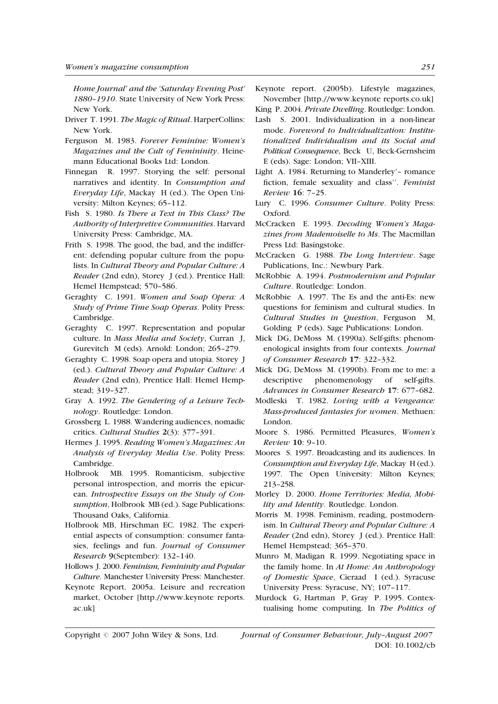Home Journal' and the 'Saturday Evening Post' 1880–1910. State University of New York Press: New York.

- Driver T. 1991. The Magic of Ritual. HarperCollins: New York.
- Ferguson M. 1983. Forever Feminine: Women's Magazines and the Cult of Femininity. Heinemann Educational Books Ltd: London.
- Finnegan R. 1997. Storying the self: personal narratives and identity. In Consumption and Everyday Life, Mackay H (ed.). The Open University: Milton Keynes; 65–112.
- Fish S. 1980. Is There a Text in This Class? The Authority of Interpretive Communities. Harvard University Press: Cambridge, MA.
- Frith S. 1998. The good, the bad, and the indifferent: defending popular culture from the populists. In Cultural Theory and Popular Culture: A Reader (2nd edn), Storey J (ed.). Prentice Hall: Hemel Hempstead; 570–586.
- Geraghty C. 1991. Women and Soap Opera: A Study of Prime Time Soap Operas. Polity Press: Cambridge.
- Geraghty C. 1997. Representation and popular culture. In Mass Media and Society, Curran J, Gurevitch M (eds). Arnold: London; 265–279.
- Geraghty C. 1998. Soap opera and utopia. Storey J (ed.). Cultural Theory and Popular Culture: A Reader (2nd edn), Prentice Hall: Hemel Hempstead; 319–327.
- Gray A. 1992. The Gendering of a Leisure Technology. Routledge: London.
- Grossberg L. 1988. Wandering audiences, nomadic critics. Cultural Studies 2(3): 377–391.
- Hermes J. 1995. Reading Women's Magazines: An Analysis of Everyday Media Use. Polity Press: Cambridge.
- Holbrook MB. 1995. Romanticism, subjective personal introspection, and morris the epicurean. Introspective Essays on the Study of Consumption, Holbrook MB (ed.). Sage Publications: Thousand Oaks, California.
- Holbrook MB, Hirschman EC. 1982. The experiential aspects of consumption: consumer fantasies, feelings and fun. Journal of Consumer Research 9(September): 132–140.
- Hollows J. 2000. Feminism, Femininity and Popular Culture. Manchester University Press: Manchester.
- Keynote Report. 2005a. Leisure and recreation market, October [http.//www.keynote reports. ac.uk]
- Keynote report. (2005b). Lifestyle magazines, November [http.//www.keynote reports.co.uk] King P. 2004. Private Dwelling. Routledge: London.
- Lash S. 2001. Individualization in a non-linear mode. Foreword to Individualization: Institutionalized Individualism and its Social and Political Consequence, Beck U, Beck-Gernsheim E (eds). Sage: London; VII–XIII.
- Light A. 1984. Returning to Manderley'– romance fiction, female sexuality and class''. Feminist Review 16: 7–25.
- Lury C. 1996. Consumer Culture. Polity Press: Oxford.
- McCracken E. 1993. Decoding Women's Magazines from Mademoiselle to Ms. The Macmillan Press Ltd: Basingstoke.
- McCracken G. 1988. The Long Interview. Sage Publications, Inc.: Newbury Park.
- McRobbie A. 1994. Postmodernism and Popular Culture. Routledge: London.
- McRobbie A. 1997. The Es and the anti-Es: new questions for feminism and cultural studies. In Cultural Studies in Question, Ferguson M, Golding P (eds). Sage Publications: London.
- Mick DG, DeMoss M. (1990a). Self-gifts: phenomenological insights from four contexts. Journal of Consumer Research 17: 322–332.
- Mick DG, DeMoss M. (1990b). From me to me: a descriptive phenomenology of self-gifts. Advances in Consumer Research 17: 677-682.
- Modleski T. 1982. Loving with a Vengeance: Mass-produced fantasies for women. Methuen: London.
- Moore S. 1986. Permitted Pleasures, Women's Review 10: 9–10.
- Moores S. 1997. Broadcasting and its audiences. In Consumption and Everyday Life, Mackay H (ed.). 1997. The Open University: Milton Keynes; 213–258.
- Morley D. 2000. Home Territories: Media, Mobility and Identity. Routledge. London.
- Morris M. 1998. Feminism, reading, postmodernism. In Cultural Theory and Popular Culture: A Reader (2nd edn), Storey J (ed.). Prentice Hall: Hemel Hempstead; 365–370.
- Munro M, Madigan R. 1999. Negotiating space in the family home. In At Home: An Anthropology of Domestic Space, Cieraad I (ed.). Syracuse University Press: Syracuse, NY; 107–117.
- Murdock G, Hartman P, Gray P. 1995. Contextualising home computing. In The Politics of

Copyright  $\odot$  2007 John Wiley & Sons, Ltd. Journal of Consumer Behaviour, July-August 2007 DOI: 10.1002/cb